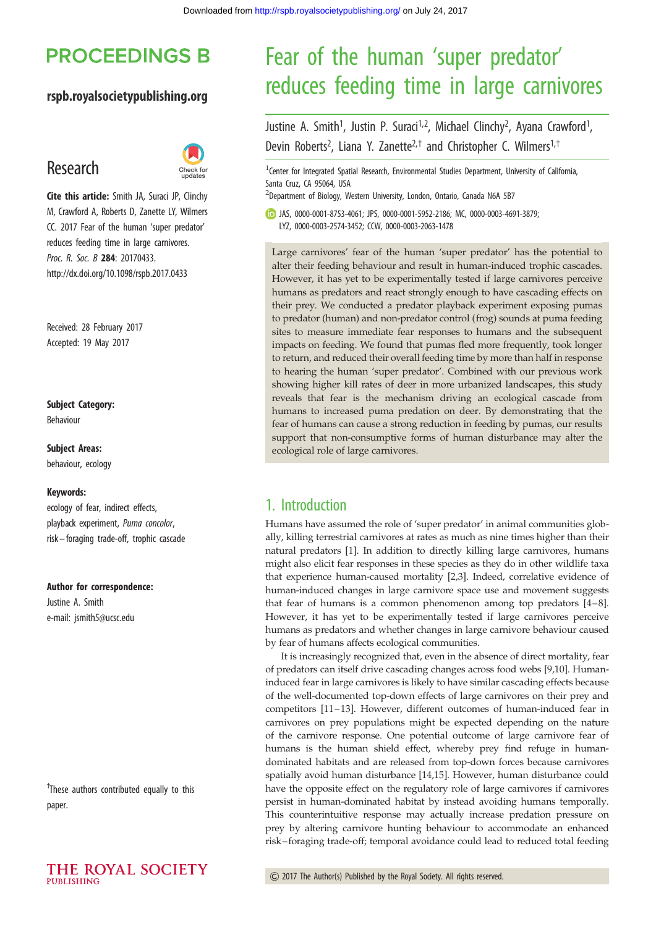## **PROCEEDINGS B**

### rspb.royalsocietypublishing.org

## Research



Cite this article: Smith JA, Suraci JP, Clinchy M, Crawford A, Roberts D, Zanette LY, Wilmers CC. 2017 Fear of the human 'super predator' reduces feeding time in large carnivores. Proc. R. Soc. B 284: 20170433. http://dx.doi.org/10.1098/rspb.2017.0433

Received: 28 February 2017 Accepted: 19 May 2017

### Subject Category:

Behaviour

### Subject Areas: behaviour, ecology

### Keywords:

ecology of fear, indirect effects, playback experiment, Puma concolor, risk –foraging trade-off, trophic cascade

#### Author for correspondence:

Justine A. Smith e-mail: [jsmith5@ucsc.edu](mailto:jsmith5@ucsc.edu)

† These authors contributed equally to this paper.

# Fear of the human 'super predator' reduces feeding time in large carnivores

Justine A. Smith<sup>1</sup>, Justin P. Suraci<sup>1,2</sup>, Michael Clinchy<sup>2</sup>, Ayana Crawford<sup>1</sup> , Devin Roberts<sup>2</sup>, Liana Y. Zanette<sup>2,†</sup> and Christopher C. Wilmers<sup>1,†</sup>

<sup>1</sup> Center for Integrated Spatial Research, Environmental Studies Department, University of California, Santa Cruz, CA 95064, USA

<sup>2</sup>Department of Biology, Western University, London, Ontario, Canada N6A 5B7

JAS, [0000-0001-8753-4061;](http://orcid.org/0000-0001-8753-4061) JPS, [0000-0001-5952-2186;](http://orcid.org/0000-0001-5952-2186) MC, [0000-0003-4691-3879;](http://orcid.org/0000-0003-4691-3879) LYZ, [0000-0003-2574-3452;](http://orcid.org/0000-0003-2574-3452) CCW, [0000-0003-2063-1478](http://orcid.org/0000-0003-2063-1478)

Large carnivores' fear of the human 'super predator' has the potential to alter their feeding behaviour and result in human-induced trophic cascades. However, it has yet to be experimentally tested if large carnivores perceive humans as predators and react strongly enough to have cascading effects on their prey. We conducted a predator playback experiment exposing pumas to predator (human) and non-predator control (frog) sounds at puma feeding sites to measure immediate fear responses to humans and the subsequent impacts on feeding. We found that pumas fled more frequently, took longer to return, and reduced their overall feeding time by more than half in response to hearing the human 'super predator'. Combined with our previous work showing higher kill rates of deer in more urbanized landscapes, this study reveals that fear is the mechanism driving an ecological cascade from humans to increased puma predation on deer. By demonstrating that the fear of humans can cause a strong reduction in feeding by pumas, our results support that non-consumptive forms of human disturbance may alter the ecological role of large carnivores.

### 1. Introduction

Humans have assumed the role of 'super predator' in animal communities globally, killing terrestrial carnivores at rates as much as nine times higher than their natural predators [\[1\]](#page-3-0). In addition to directly killing large carnivores, humans might also elicit fear responses in these species as they do in other wildlife taxa that experience human-caused mortality [\[2,3](#page-3-0)]. Indeed, correlative evidence of human-induced changes in large carnivore space use and movement suggests that fear of humans is a common phenomenon among top predators [[4](#page-3-0)–[8\]](#page-3-0). However, it has yet to be experimentally tested if large carnivores perceive humans as predators and whether changes in large carnivore behaviour caused by fear of humans affects ecological communities.

It is increasingly recognized that, even in the absence of direct mortality, fear of predators can itself drive cascading changes across food webs [[9,10](#page-3-0)]. Humaninduced fear in large carnivores is likely to have similar cascading effects because of the well-documented top-down effects of large carnivores on their prey and competitors [\[11](#page-3-0)–[13](#page-3-0)]. However, different outcomes of human-induced fear in carnivores on prey populations might be expected depending on the nature of the carnivore response. One potential outcome of large carnivore fear of humans is the human shield effect, whereby prey find refuge in humandominated habitats and are released from top-down forces because carnivores spatially avoid human disturbance [\[14,15](#page-3-0)]. However, human disturbance could have the opposite effect on the regulatory role of large carnivores if carnivores persist in human-dominated habitat by instead avoiding humans temporally. This counterintuitive response may actually increase predation pressure on prey by altering carnivore hunting behaviour to accommodate an enhanced risk– foraging trade-off; temporal avoidance could lead to reduced total feeding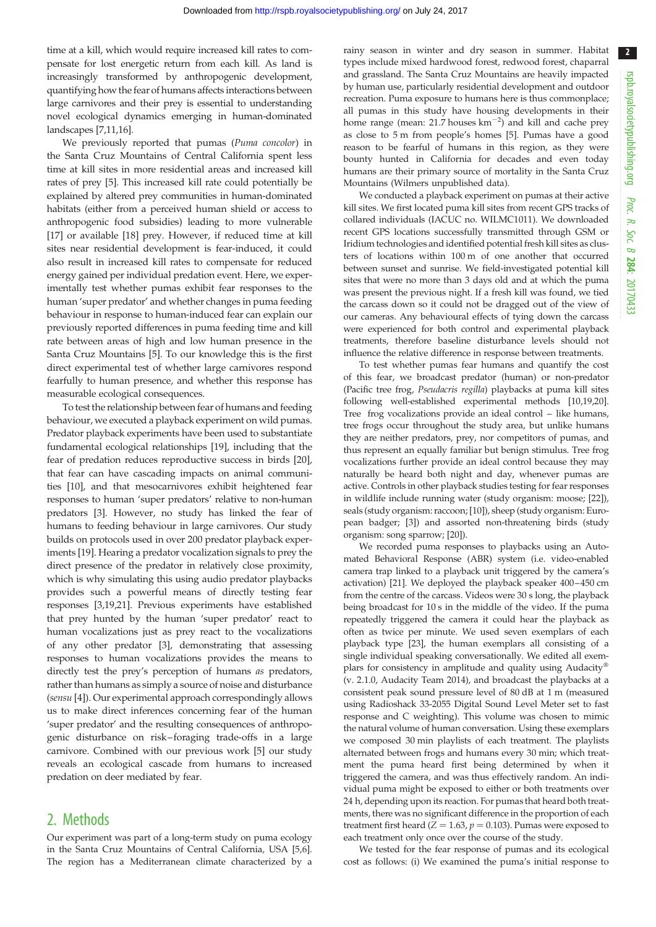2

time at a kill, which would require increased kill rates to compensate for lost energetic return from each kill. As land is increasingly transformed by anthropogenic development, quantifying how the fear of humans affects interactions between large carnivores and their prey is essential to understanding novel ecological dynamics emerging in human-dominated landscapes [[7,11,16](#page-3-0)].

We previously reported that pumas (Puma concolor) in the Santa Cruz Mountains of Central California spent less time at kill sites in more residential areas and increased kill rates of prey [\[5\]](#page-3-0). This increased kill rate could potentially be explained by altered prey communities in human-dominated habitats (either from a perceived human shield or access to anthropogenic food subsidies) leading to more vulnerable [\[17](#page-3-0)] or available [\[18](#page-4-0)] prey. However, if reduced time at kill sites near residential development is fear-induced, it could also result in increased kill rates to compensate for reduced energy gained per individual predation event. Here, we experimentally test whether pumas exhibit fear responses to the human 'super predator' and whether changes in puma feeding behaviour in response to human-induced fear can explain our previously reported differences in puma feeding time and kill rate between areas of high and low human presence in the Santa Cruz Mountains [[5](#page-3-0)]. To our knowledge this is the first direct experimental test of whether large carnivores respond fearfully to human presence, and whether this response has measurable ecological consequences.

To test the relationship between fear of humans and feeding behaviour, we executed a playback experiment on wild pumas. Predator playback experiments have been used to substantiate fundamental ecological relationships [\[19](#page-4-0)], including that the fear of predation reduces reproductive success in birds [\[20](#page-4-0)], that fear can have cascading impacts on animal communities [[10\]](#page-3-0), and that mesocarnivores exhibit heightened fear responses to human 'super predators' relative to non-human predators [\[3](#page-3-0)]. However, no study has linked the fear of humans to feeding behaviour in large carnivores. Our study builds on protocols used in over 200 predator playback experiments [\[19](#page-4-0)]. Hearing a predator vocalization signals to prey the direct presence of the predator in relatively close proximity, which is why simulating this using audio predator playbacks provides such a powerful means of directly testing fear responses [\[3,](#page-3-0)[19,21](#page-4-0)]. Previous experiments have established that prey hunted by the human 'super predator' react to human vocalizations just as prey react to the vocalizations of any other predator [\[3](#page-3-0)], demonstrating that assessing responses to human vocalizations provides the means to directly test the prey's perception of humans as predators, rather than humans as simply a source of noise and disturbance (sensu [\[4\]](#page-3-0)). Our experimental approach correspondingly allows us to make direct inferences concerning fear of the human 'super predator' and the resulting consequences of anthropogenic disturbance on risk– foraging trade-offs in a large carnivore. Combined with our previous work [\[5\]](#page-3-0) our study reveals an ecological cascade from humans to increased predation on deer mediated by fear.

### 2. Methods

Our experiment was part of a long-term study on puma ecology in the Santa Cruz Mountains of Central California, USA [[5,6\]](#page-3-0). The region has a Mediterranean climate characterized by a rainy season in winter and dry season in summer. Habitat types include mixed hardwood forest, redwood forest, chaparral and grassland. The Santa Cruz Mountains are heavily impacted by human use, particularly residential development and outdoor recreation. Puma exposure to humans here is thus commonplace; all pumas in this study have housing developments in their home range (mean: 21.7 houses  $km^{-2}$ ) and kill and cache prey as close to 5 m from people's homes [\[5](#page-3-0)]. Pumas have a good reason to be fearful of humans in this region, as they were bounty hunted in California for decades and even today humans are their primary source of mortality in the Santa Cruz Mountains (Wilmers unpublished data).

We conducted a playback experiment on pumas at their active kill sites. We first located puma kill sites from recent GPS tracks of collared individuals (IACUC no. WILMC1011). We downloaded recent GPS locations successfully transmitted through GSM or Iridium technologies and identified potential fresh kill sites as clusters of locations within 100 m of one another that occurred between sunset and sunrise. We field-investigated potential kill sites that were no more than 3 days old and at which the puma was present the previous night. If a fresh kill was found, we tied the carcass down so it could not be dragged out of the view of our cameras. Any behavioural effects of tying down the carcass were experienced for both control and experimental playback treatments, therefore baseline disturbance levels should not influence the relative difference in response between treatments.

To test whether pumas fear humans and quantify the cost of this fear, we broadcast predator (human) or non-predator (Pacific tree frog, Pseudacris regilla) playbacks at puma kill sites following well-established experimental methods [[10](#page-3-0)[,19,20](#page-4-0)]. Tree frog vocalizations provide an ideal control – like humans, tree frogs occur throughout the study area, but unlike humans they are neither predators, prey, nor competitors of pumas, and thus represent an equally familiar but benign stimulus. Tree frog vocalizations further provide an ideal control because they may naturally be heard both night and day, whenever pumas are active. Controls in other playback studies testing for fear responses in wildlife include running water (study organism: moose; [[22](#page-4-0)]), seals (study organism: raccoon; [[10](#page-3-0)]), sheep (study organism: European badger; [[3](#page-3-0)]) and assorted non-threatening birds (study organism: song sparrow; [\[20\]](#page-4-0)).

We recorded puma responses to playbacks using an Automated Behavioral Response (ABR) system (i.e. video-enabled camera trap linked to a playback unit triggered by the camera's activation) [\[21\]](#page-4-0). We deployed the playback speaker 400–450 cm from the centre of the carcass. Videos were 30 s long, the playback being broadcast for 10 s in the middle of the video. If the puma repeatedly triggered the camera it could hear the playback as often as twice per minute. We used seven exemplars of each playback type [\[23\]](#page-4-0), the human exemplars all consisting of a single individual speaking conversationally. We edited all exemplars for consistency in amplitude and quality using Audacity® (v. 2.1.0, Audacity Team 2014), and broadcast the playbacks at a consistent peak sound pressure level of 80 dB at 1 m (measured using Radioshack 33-2055 Digital Sound Level Meter set to fast response and C weighting). This volume was chosen to mimic the natural volume of human conversation. Using these exemplars we composed 30 min playlists of each treatment. The playlists alternated between frogs and humans every 30 min; which treatment the puma heard first being determined by when it triggered the camera, and was thus effectively random. An individual puma might be exposed to either or both treatments over 24 h, depending upon its reaction. For pumas that heard both treatments, there was no significant difference in the proportion of each treatment first heard ( $Z = 1.63$ ,  $p = 0.103$ ). Pumas were exposed to each treatment only once over the course of the study.

We tested for the fear response of pumas and its ecological cost as follows: (i) We examined the puma's initial response to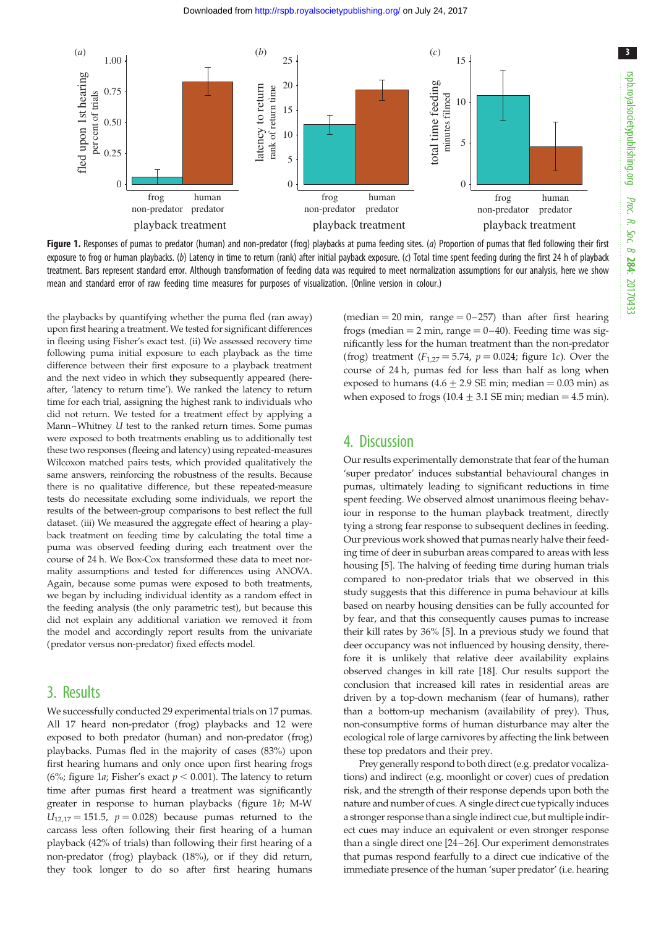

Figure 1. Responses of pumas to predator (human) and non-predator (frog) playbacks at puma feeding sites. (a) Proportion of pumas that fled following their first exposure to frog or human playbacks. (b) Latency in time to return (rank) after initial payback exposure. (c) Total time spent feeding during the first 24 h of playback treatment. Bars represent standard error. Although transformation of feeding data was required to meet normalization assumptions for our analysis, here we show mean and standard error of raw feeding time measures for purposes of visualization. (Online version in colour.)

the playbacks by quantifying whether the puma fled (ran away) upon first hearing a treatment. We tested for significant differences in fleeing using Fisher's exact test. (ii) We assessed recovery time following puma initial exposure to each playback as the time difference between their first exposure to a playback treatment and the next video in which they subsequently appeared (hereafter, 'latency to return time'). We ranked the latency to return time for each trial, assigning the highest rank to individuals who did not return. We tested for a treatment effect by applying a Mann–Whitney U test to the ranked return times. Some pumas were exposed to both treatments enabling us to additionally test these two responses (fleeing and latency) using repeated-measures Wilcoxon matched pairs tests, which provided qualitatively the same answers, reinforcing the robustness of the results. Because there is no qualitative difference, but these repeated-measure tests do necessitate excluding some individuals, we report the results of the between-group comparisons to best reflect the full dataset. (iii) We measured the aggregate effect of hearing a playback treatment on feeding time by calculating the total time a puma was observed feeding during each treatment over the course of 24 h. We Box-Cox transformed these data to meet normality assumptions and tested for differences using ANOVA. Again, because some pumas were exposed to both treatments, we began by including individual identity as a random effect in the feeding analysis (the only parametric test), but because this did not explain any additional variation we removed it from the model and accordingly report results from the univariate (predator versus non-predator) fixed effects model.

### 3. Results

We successfully conducted 29 experimental trials on 17 pumas. All 17 heard non-predator (frog) playbacks and 12 were exposed to both predator (human) and non-predator (frog) playbacks. Pumas fled in the majority of cases (83%) upon first hearing humans and only once upon first hearing frogs (6%; figure 1a; Fisher's exact  $p < 0.001$ ). The latency to return time after pumas first heard a treatment was significantly greater in response to human playbacks (figure 1b; M-W  $U_{12,17} = 151.5$ ,  $p = 0.028$ ) because pumas returned to the carcass less often following their first hearing of a human playback (42% of trials) than following their first hearing of a non-predator (frog) playback (18%), or if they did return, they took longer to do so after first hearing humans (median  $= 20$  min, range  $= 0-257$ ) than after first hearing frogs (median  $= 2$  min, range  $= 0-40$ ). Feeding time was significantly less for the human treatment than the non-predator (frog) treatment  $(F_{1,27} = 5.74, p = 0.024$ ; figure 1c). Over the course of 24 h, pumas fed for less than half as long when exposed to humans  $(4.6 \pm 2.9 \text{ SE min})$ ; median = 0.03 min) as when exposed to frogs  $(10.4 \pm 3.1 \text{ SE min})$ ; median = 4.5 min).

## 4. Discussion

Our results experimentally demonstrate that fear of the human 'super predator' induces substantial behavioural changes in pumas, ultimately leading to significant reductions in time spent feeding. We observed almost unanimous fleeing behaviour in response to the human playback treatment, directly tying a strong fear response to subsequent declines in feeding. Our previous work showed that pumas nearly halve their feeding time of deer in suburban areas compared to areas with less housing [[5](#page-3-0)]. The halving of feeding time during human trials compared to non-predator trials that we observed in this study suggests that this difference in puma behaviour at kills based on nearby housing densities can be fully accounted for by fear, and that this consequently causes pumas to increase their kill rates by 36% [\[5\]](#page-3-0). In a previous study we found that deer occupancy was not influenced by housing density, therefore it is unlikely that relative deer availability explains observed changes in kill rate [\[18](#page-4-0)]. Our results support the conclusion that increased kill rates in residential areas are driven by a top-down mechanism (fear of humans), rather than a bottom-up mechanism (availability of prey). Thus, non-consumptive forms of human disturbance may alter the ecological role of large carnivores by affecting the link between these top predators and their prey.

Prey generally respond to both direct (e.g. predator vocalizations) and indirect (e.g. moonlight or cover) cues of predation risk, and the strength of their response depends upon both the nature and number of cues. A single direct cue typically induces a stronger response than a single indirect cue, but multiple indirect cues may induce an equivalent or even stronger response than a single direct one [[24](#page-4-0)–[26](#page-4-0)]. Our experiment demonstrates that pumas respond fearfully to a direct cue indicative of the immediate presence of the human 'super predator' (i.e. hearing

3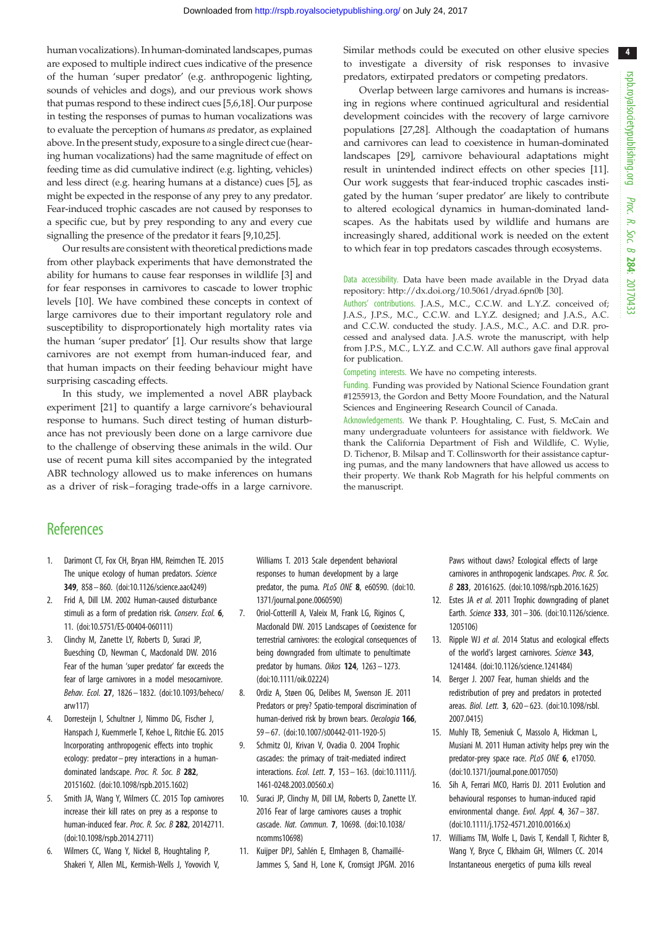<span id="page-3-0"></span>human vocalizations). In human-dominated landscapes, pumas are exposed to multiple indirect cues indicative of the presence of the human 'super predator' (e.g. anthropogenic lighting, sounds of vehicles and dogs), and our previous work shows that pumas respond to these indirect cues [5,6[,18](#page-4-0)]. Our purpose in testing the responses of pumas to human vocalizations was to evaluate the perception of humans as predator, as explained above. In the present study, exposure to a single direct cue (hearing human vocalizations) had the same magnitude of effect on feeding time as did cumulative indirect (e.g. lighting, vehicles) and less direct (e.g. hearing humans at a distance) cues [5], as might be expected in the response of any prey to any predator. Fear-induced trophic cascades are not caused by responses to a specific cue, but by prey responding to any and every cue signalling the presence of the predator it fears [9,10[,25\]](#page-4-0).

Our results are consistent with theoretical predictions made from other playback experiments that have demonstrated the ability for humans to cause fear responses in wildlife [3] and for fear responses in carnivores to cascade to lower trophic levels [10]. We have combined these concepts in context of large carnivores due to their important regulatory role and susceptibility to disproportionately high mortality rates via the human 'super predator' [1]. Our results show that large carnivores are not exempt from human-induced fear, and that human impacts on their feeding behaviour might have surprising cascading effects.

In this study, we implemented a novel ABR playback experiment [\[21](#page-4-0)] to quantify a large carnivore's behavioural response to humans. Such direct testing of human disturbance has not previously been done on a large carnivore due to the challenge of observing these animals in the wild. Our use of recent puma kill sites accompanied by the integrated ABR technology allowed us to make inferences on humans as a driver of risk – foraging trade-offs in a large carnivore. Similar methods could be executed on other elusive species to investigate a diversity of risk responses to invasive predators, extirpated predators or competing predators.

Overlap between large carnivores and humans is increasing in regions where continued agricultural and residential development coincides with the recovery of large carnivore populations [[27,28\]](#page-4-0). Although the coadaptation of humans and carnivores can lead to coexistence in human-dominated landscapes [\[29](#page-4-0)], carnivore behavioural adaptations might result in unintended indirect effects on other species [11]. Our work suggests that fear-induced trophic cascades instigated by the human 'super predator' are likely to contribute to altered ecological dynamics in human-dominated landscapes. As the habitats used by wildlife and humans are increasingly shared, additional work is needed on the extent to which fear in top predators cascades through ecosystems.

Data accessibility. Data have been made available in the Dryad data repository:<http://dx.doi.org/10.5061/dryad.6pn0b> [[30\]](#page-4-0).

Authors' contributions. J.A.S., M.C., C.C.W. and L.Y.Z. conceived of; J.A.S., J.P.S., M.C., C.C.W. and L.Y.Z. designed; and J.A.S., A.C. and C.C.W. conducted the study. J.A.S., M.C., A.C. and D.R. processed and analysed data. J.A.S. wrote the manuscript, with help from J.P.S., M.C., L.Y.Z. and C.C.W. All authors gave final approval for publication.

Competing interests. We have no competing interests.

Funding. Funding was provided by National Science Foundation grant #1255913, the Gordon and Betty Moore Foundation, and the Natural Sciences and Engineering Research Council of Canada.

Acknowledgements. We thank P. Houghtaling, C. Fust, S. McCain and many undergraduate volunteers for assistance with fieldwork. We thank the California Department of Fish and Wildlife, C. Wylie, D. Tichenor, B. Milsap and T. Collinsworth for their assistance capturing pumas, and the many landowners that have allowed us access to their property. We thank Rob Magrath for his helpful comments on the manuscript.

## **References**

- 1. Darimont CT, Fox CH, Bryan HM, Reimchen TE. 2015 The unique ecology of human predators. Science 349, 858– 860. [\(doi:10.1126/science.aac4249](http://dx.doi.org/10.1126/science.aac4249))
- 2. Frid A, Dill LM. 2002 Human-caused disturbance stimuli as a form of predation risk. Conserv. Ecol. 6, 11. ([doi:10.5751/ES-00404-060111\)](http://dx.doi.org/10.5751/ES-00404-060111)
- 3. Clinchy M, Zanette LY, Roberts D, Suraci JP, Buesching CD, Newman C, Macdonald DW. 2016 Fear of the human 'super predator' far exceeds the fear of large carnivores in a model mesocarnivore. Behav. Ecol. 27, 1826– 1832. ([doi:10.1093/beheco/](http://dx.doi.org/10.1093/beheco/arw117) [arw117\)](http://dx.doi.org/10.1093/beheco/arw117)
- 4. Dorresteijn I, Schultner J, Nimmo DG, Fischer J, Hanspach J, Kuemmerle T, Kehoe L, Ritchie EG. 2015 Incorporating anthropogenic effects into trophic ecology: predator– prey interactions in a humandominated landscape. Proc. R. Soc. B 282, 20151602. [\(doi:10.1098/rspb.2015.1602\)](http://dx.doi.org/10.1098/rspb.2015.1602)
- 5. Smith JA, Wang Y, Wilmers CC. 2015 Top carnivores increase their kill rates on prey as a response to human-induced fear. Proc. R. Soc. B 282, 20142711. [\(doi:10.1098/rspb.2014.2711](http://dx.doi.org/10.1098/rspb.2014.2711))
- 6. Wilmers CC, Wang Y, Nickel B, Houghtaling P, Shakeri Y, Allen ML, Kermish-Wells J, Yovovich V,

Williams T. 2013 Scale dependent behavioral responses to human development by a large predator, the puma. PLoS ONE 8, e60590. [\(doi:10.](http://dx.doi.org/10.1371/journal.pone.0060590) [1371/journal.pone.0060590\)](http://dx.doi.org/10.1371/journal.pone.0060590)

- 7. Oriol-Cotterill A, Valeix M, Frank LG, Riginos C, Macdonald DW. 2015 Landscapes of Coexistence for terrestrial carnivores: the ecological consequences of being downgraded from ultimate to penultimate predator by humans. Oikos 124, 1263-1273. [\(doi:10.1111/oik.02224](http://dx.doi.org/10.1111/oik.02224))
- 8. Ordiz A, Støen OG, Delibes M, Swenson JE. 2011 Predators or prey? Spatio-temporal discrimination of human-derived risk by brown bears. Oecologia 166, 59 – 67. ([doi:10.1007/s00442-011-1920-5\)](http://dx.doi.org/10.1007/s00442-011-1920-5)
- 9. Schmitz OJ, Krivan V, Ovadia O. 2004 Trophic cascades: the primacy of trait-mediated indirect interactions. Ecol. Lett. 7, 153– 163. [\(doi:10.1111/j.](http://dx.doi.org/10.1111/j.1461-0248.2003.00560.x) [1461-0248.2003.00560.x\)](http://dx.doi.org/10.1111/j.1461-0248.2003.00560.x)
- 10. Suraci JP, Clinchy M, Dill LM, Roberts D, Zanette LY. 2016 Fear of large carnivores causes a trophic cascade. Nat. Commun. 7, 10698. [\(doi:10.1038/](http://dx.doi.org/10.1038/ncomms10698) [ncomms10698\)](http://dx.doi.org/10.1038/ncomms10698)
- 11. Kuijper DPJ, Sahlén E, Elmhagen B, Chamaillé-Jammes S, Sand H, Lone K, Cromsigt JPGM. 2016

Paws without claws? Ecological effects of large carnivores in anthropogenic landscapes. Proc. R. Soc. B 283, 20161625. [\(doi:10.1098/rspb.2016.1625\)](http://dx.doi.org/10.1098/rspb.2016.1625)

- 12. Estes JA et al. 2011 Trophic downgrading of planet Earth. Science 333, 301– 306. [\(doi:10.1126/science.](http://dx.doi.org/10.1126/science.1205106) [1205106](http://dx.doi.org/10.1126/science.1205106))
- 13. Ripple WJ et al. 2014 Status and ecological effects of the world's largest carnivores. Science 343, 1241484. [\(doi:10.1126/science.1241484](http://dx.doi.org/10.1126/science.1241484))
- 14. Berger J. 2007 Fear, human shields and the redistribution of prey and predators in protected areas. Biol. Lett. 3, 620– 623. ([doi:10.1098/rsbl.](http://dx.doi.org/10.1098/rsbl.2007.0415) [2007.0415](http://dx.doi.org/10.1098/rsbl.2007.0415))
- 15. Muhly TB, Semeniuk C, Massolo A, Hickman L, Musiani M. 2011 Human activity helps prey win the predator-prey space race. PLoS ONE 6, e17050. ([doi:10.1371/journal.pone.0017050](http://dx.doi.org/10.1371/journal.pone.0017050))
- 16. Sih A, Ferrari MCO, Harris DJ. 2011 Evolution and behavioural responses to human-induced rapid environmental change. Evol. Appl. 4, 367– 387. ([doi:10.1111/j.1752-4571.2010.00166.x\)](http://dx.doi.org/10.1111/j.1752-4571.2010.00166.x)
- 17. Williams TM, Wolfe L, Davis T, Kendall T, Richter B, Wang Y, Bryce C, Elkhaim GH, Wilmers CC. 2014 Instantaneous energetics of puma kills reveal